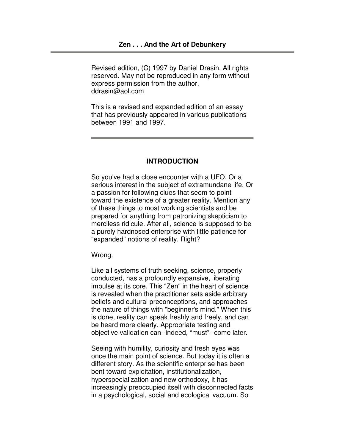Revised edition, (C) 1997 by Daniel Drasin. All rights reserved. May not be reproduced in any form without express permission from the author, ddrasin@aol.com

This is a revised and expanded edition of an essay that has previously appeared in various publications between 1991 and 1997.

## **INTRODUCTION**

So you've had a close encounter with a UFO. Or a serious interest in the subject of extramundane life. Or a passion for following clues that seem to point toward the existence of a greater reality. Mention any of these things to most working scientists and be prepared for anything from patronizing skepticism to merciless ridicule. After all, science is supposed to be a purely hardnosed enterprise with little patience for "expanded" notions of reality. Right?

Wrong.

Like all systems of truth seeking, science, properly conducted, has a profoundly expansive, liberating impulse at its core. This "Zen" in the heart of science is revealed when the practitioner sets aside arbitrary beliefs and cultural preconceptions, and approaches the nature of things with "beginner's mind." When this is done, reality can speak freshly and freely, and can be heard more clearly. Appropriate testing and objective validation can--indeed, \*must\*--come later.

Seeing with humility, curiosity and fresh eyes was once the main point of science. But today it is often a different story. As the scientific enterprise has been bent toward exploitation, institutionalization, hyperspecialization and new orthodoxy, it has increasingly preoccupied itself with disconnected facts in a psychological, social and ecological vacuum. So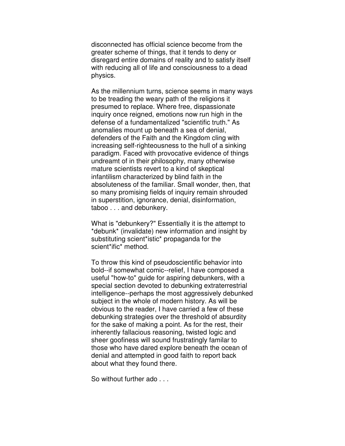disconnected has official science become from the greater scheme of things, that it tends to deny or disregard entire domains of reality and to satisfy itself with reducing all of life and consciousness to a dead physics.

As the millennium turns, science seems in many ways to be treading the weary path of the religions it presumed to replace. Where free, dispassionate inquiry once reigned, emotions now run high in the defense of a fundamentalized "scientific truth." As anomalies mount up beneath a sea of denial, defenders of the Faith and the Kingdom cling with increasing self-righteousness to the hull of a sinking paradigm. Faced with provocative evidence of things undreamt of in their philosophy, many otherwise mature scientists revert to a kind of skeptical infantilism characterized by blind faith in the absoluteness of the familiar. Small wonder, then, that so many promising fields of inquiry remain shrouded in superstition, ignorance, denial, disinformation, taboo . . . and debunkery.

What is "debunkery?" Essentially it is the attempt to \*debunk\* (invalidate) new information and insight by substituting scient\*istic\* propaganda for the scient\*ific\* method.

To throw this kind of pseudoscientific behavior into bold--if somewhat comic--relief, I have composed a useful "how-to" guide for aspiring debunkers, with a special section devoted to debunking extraterrestrial intelligence--perhaps the most aggressively debunked subject in the whole of modern history. As will be obvious to the reader, I have carried a few of these debunking strategies over the threshold of absurdity for the sake of making a point. As for the rest, their inherently fallacious reasoning, twisted logic and sheer goofiness will sound frustratingly familar to those who have dared explore beneath the ocean of denial and attempted in good faith to report back about what they found there.

So without further ado . . .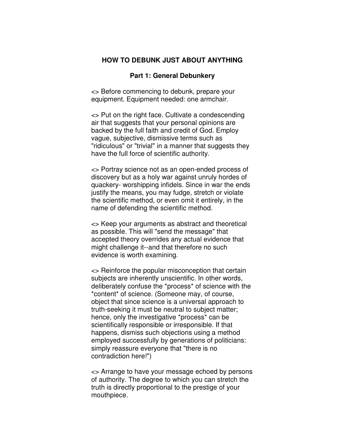## **HOW TO DEBUNK JUST ABOUT ANYTHING**

## **Part 1: General Debunkery**

<> Before commencing to debunk, prepare your equipment. Equipment needed: one armchair.

<> Put on the right face. Cultivate a condescending air that suggests that your personal opinions are backed by the full faith and credit of God. Employ vague, subjective, dismissive terms such as "ridiculous" or "trivial" in a manner that suggests they have the full force of scientific authority.

<> Portray science not as an open-ended process of discovery but as a holy war against unruly hordes of quackery- worshipping infidels. Since in war the ends justify the means, you may fudge, stretch or violate the scientific method, or even omit it entirely, in the name of defending the scientific method.

<> Keep your arguments as abstract and theoretical as possible. This will "send the message" that accepted theory overrides any actual evidence that might challenge it--and that therefore no such evidence is worth examining.

<> Reinforce the popular misconception that certain subjects are inherently unscientific. In other words, deliberately confuse the \*process\* of science with the \*content\* of science. (Someone may, of course, object that since science is a universal approach to truth-seeking it must be neutral to subject matter; hence, only the investigative \*process\* can be scientifically responsible or irresponsible. If that happens, dismiss such objections using a method employed successfully by generations of politicians: simply reassure everyone that "there is no contradiction here!")

<> Arrange to have your message echoed by persons of authority. The degree to which you can stretch the truth is directly proportional to the prestige of your mouthpiece.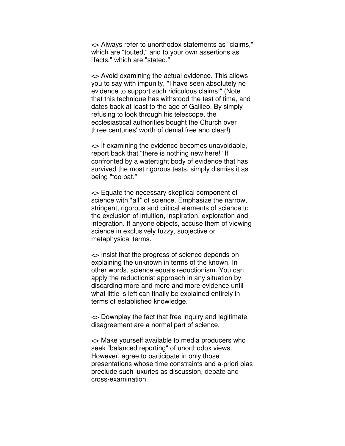<> Always refer to unorthodox statements as "claims," which are "touted," and to your own assertions as "facts," which are "stated."

<> Avoid examining the actual evidence. This allows you to say with impunity, "I have seen absolutely no evidence to support such ridiculous claims!" (Note that this technique has withstood the test of time, and dates back at least to the age of Galileo. By simply refusing to look through his telescope, the ecclesiastical authorities bought the Church over three centuries' worth of denial free and clear!)

<> If examining the evidence becomes unavoidable, report back that "there is nothing new here!" If confronted by a watertight body of evidence that has survived the most rigorous tests, simply dismiss it as being "too pat."

<> Equate the necessary skeptical component of science with \*all\* of science. Emphasize the narrow, stringent, rigorous and critical elements of science to the exclusion of intuition, inspiration, exploration and integration. If anyone objects, accuse them of viewing science in exclusively fuzzy, subjective or metaphysical terms.

<> Insist that the progress of science depends on explaining the unknown in terms of the known. In other words, science equals reductionism. You can apply the reductionist approach in any situation by discarding more and more and more evidence until what little is left can finally be explained entirely in terms of established knowledge.

<> Downplay the fact that free inquiry and legitimate disagreement are a normal part of science.

<> Make yourself available to media producers who seek "balanced reporting" of unorthodox views. However, agree to participate in only those presentations whose time constraints and a-priori bias preclude such luxuries as discussion, debate and cross-examination.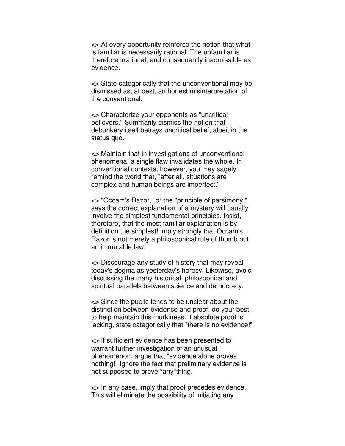<> At every opportunity reinforce the notion that what is familiar is necessarily rational. The unfamiliar is therefore irrational, and consequently inadmissible as evidence.

<> State categorically that the unconventional may be dismissed as, at best, an honest misinterpretation of the conventional.

<> Characterize your opponents as "uncritical believers." Summarily dismiss the notion that debunkery itself betrays uncritical belief, albeit in the status quo.

<> Maintain that in investigations of unconventional phenomena, a single flaw invalidates the whole. In conventional contexts, however, you may sagely remind the world that, "after all, situations are complex and human beings are imperfect."

<> "Occam's Razor," or the "principle of parsimony," says the correct explanation of a mystery will usually involve the simplest fundamental principles. Insist, therefore, that the most familiar explanation is by definition the simplest! Imply strongly that Occam's Razor is not merely a philosophical rule of thumb but an immutable law.

<> Discourage any study of history that may reveal today's dogma as yesterday's heresy. Likewise, avoid discussing the many historical, philosophical and spiritual parallels between science and democracy.

<> Since the public tends to be unclear about the distinction between evidence and proof, do your best to help maintain this murkiness. If absolute proof is lacking, state categorically that "there is no evidence!"

<> If sufficient evidence has been presented to warrant further investigation of an unusual phenomenon, argue that "evidence alone proves nothing!" Ignore the fact that preliminary evidence is not supposed to prove \*any\*thing.

<> In any case, imply that proof precedes evidence. This will eliminate the possibility of initiating any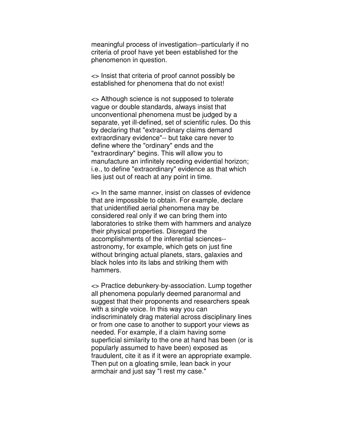meaningful process of investigation--particularly if no criteria of proof have yet been established for the phenomenon in question.

<> Insist that criteria of proof cannot possibly be established for phenomena that do not exist!

<> Although science is not supposed to tolerate vague or double standards, always insist that unconventional phenomena must be judged by a separate, yet ill-defined, set of scientific rules. Do this by declaring that "extraordinary claims demand extraordinary evidence"-- but take care never to define where the "ordinary" ends and the "extraordinary" begins. This will allow you to manufacture an infinitely receding evidential horizon; i.e., to define "extraordinary" evidence as that which lies just out of reach at any point in time.

<> In the same manner, insist on classes of evidence that are impossible to obtain. For example, declare that unidentified aerial phenomena may be considered real only if we can bring them into laboratories to strike them with hammers and analyze their physical properties. Disregard the accomplishments of the inferential sciences- astronomy, for example, which gets on just fine without bringing actual planets, stars, galaxies and black holes into its labs and striking them with hammers.

<> Practice debunkery-by-association. Lump together all phenomena popularly deemed paranormal and suggest that their proponents and researchers speak with a single voice. In this way you can indiscriminately drag material across disciplinary lines or from one case to another to support your views as needed. For example, if a claim having some superficial similarity to the one at hand has been (or is popularly assumed to have been) exposed as fraudulent, cite it as if it were an appropriate example. Then put on a gloating smile, lean back in your armchair and just say "I rest my case."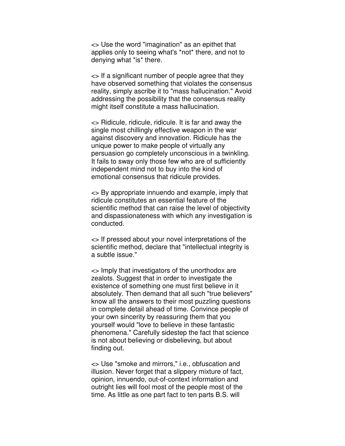<> Use the word "imagination" as an epithet that applies only to seeing what's \*not\* there, and not to denying what \*is\* there.

<> If a significant number of people agree that they have observed something that violates the consensus reality, simply ascribe it to "mass hallucination." Avoid addressing the possibility that the consensus reality might itself constitute a mass hallucination.

<> Ridicule, ridicule, ridicule. It is far and away the single most chillingly effective weapon in the war against discovery and innovation. Ridicule has the unique power to make people of virtually any persuasion go completely unconscious in a twinkling. It fails to sway only those few who are of sufficiently independent mind not to buy into the kind of emotional consensus that ridicule provides.

<> By appropriate innuendo and example, imply that ridicule constitutes an essential feature of the scientific method that can raise the level of objectivity and dispassionateness with which any investigation is conducted.

<> If pressed about your novel interpretations of the scientific method, declare that "intellectual integrity is a subtle issue."

<> Imply that investigators of the unorthodox are zealots. Suggest that in order to investigate the existence of something one must first believe in it absolutely. Then demand that all such "true believers" know all the answers to their most puzzling questions in complete detail ahead of time. Convince people of your own sincerity by reassuring them that you yourself would "love to believe in these fantastic phenomena." Carefully sidestep the fact that science is not about believing or disbelieving, but about finding out.

<> Use "smoke and mirrors," i.e., obfuscation and illusion. Never forget that a slippery mixture of fact, opinion, innuendo, out-of-context information and outright lies will fool most of the people most of the time. As little as one part fact to ten parts B.S. will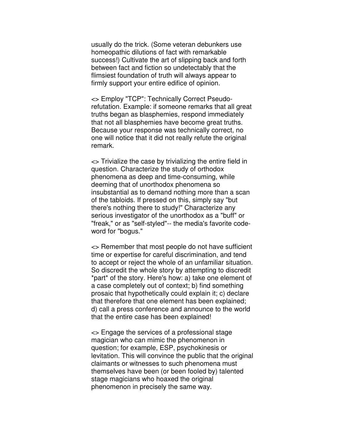usually do the trick. (Some veteran debunkers use homeopathic dilutions of fact with remarkable success!) Cultivate the art of slipping back and forth between fact and fiction so undetectably that the flimsiest foundation of truth will always appear to firmly support your entire edifice of opinion.

<> Employ "TCP": Technically Correct Pseudorefutation. Example: if someone remarks that all great truths began as blasphemies, respond immediately that not all blasphemies have become great truths. Because your response was technically correct, no one will notice that it did not really refute the original remark.

<> Trivialize the case by trivializing the entire field in question. Characterize the study of orthodox phenomena as deep and time-consuming, while deeming that of unorthodox phenomena so insubstantial as to demand nothing more than a scan of the tabloids. If pressed on this, simply say "but there's nothing there to study!" Characterize any serious investigator of the unorthodox as a "buff" or "freak," or as "self-styled"-- the media's favorite codeword for "bogus."

<> Remember that most people do not have sufficient time or expertise for careful discrimination, and tend to accept or reject the whole of an unfamiliar situation. So discredit the whole story by attempting to discredit \*part\* of the story. Here's how: a) take one element of a case completely out of context; b) find something prosaic that hypothetically could explain it; c) declare that therefore that one element has been explained; d) call a press conference and announce to the world that the entire case has been explained!

<> Engage the services of a professional stage magician who can mimic the phenomenon in question; for example, ESP, psychokinesis or levitation. This will convince the public that the original claimants or witnesses to such phenomena must themselves have been (or been fooled by) talented stage magicians who hoaxed the original phenomenon in precisely the same way.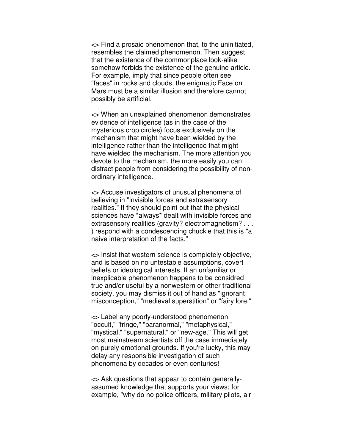<> Find a prosaic phenomenon that, to the uninitiated, resembles the claimed phenomenon. Then suggest that the existence of the commonplace look-alike somehow forbids the existence of the genuine article. For example, imply that since people often see "faces" in rocks and clouds, the enigmatic Face on Mars must be a similar illusion and therefore cannot possibly be artificial.

<> When an unexplained phenomenon demonstrates evidence of intelligence (as in the case of the mysterious crop circles) focus exclusively on the mechanism that might have been wielded by the intelligence rather than the intelligence that might have wielded the mechanism. The more attention you devote to the mechanism, the more easily you can distract people from considering the possibility of nonordinary intelligence.

<> Accuse investigators of unusual phenomena of believing in "invisible forces and extrasensory realities." If they should point out that the physical sciences have \*always\* dealt with invisible forces and extrasensory realities (gravity? electromagnetism? . . . ) respond with a condescending chuckle that this is "a naive interpretation of the facts."

<> Insist that western science is completely objective, and is based on no untestable assumptions, covert beliefs or ideological interests. If an unfamiliar or inexplicable phenomenon happens to be considred true and/or useful by a nonwestern or other traditional society, you may dismiss it out of hand as "ignorant misconception," "medieval superstition" or "fairy lore."

<> Label any poorly-understood phenomenon "occult," "fringe," "paranormal," "metaphysical," "mystical," "supernatural," or "new-age." This will get most mainstream scientists off the case immediately on purely emotional grounds. If you're lucky, this may delay any responsible investigation of such phenomena by decades or even centuries!

<> Ask questions that appear to contain generallyassumed knowledge that supports your views; for example, "why do no police officers, military pilots, air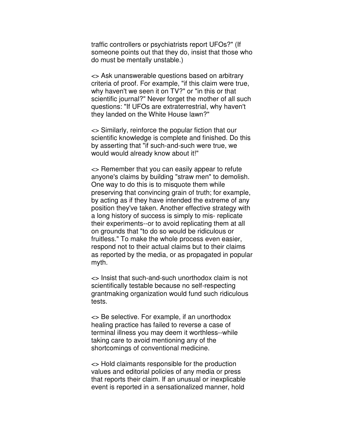traffic controllers or psychiatrists report UFOs?" (If someone points out that they do, insist that those who do must be mentally unstable.)

<> Ask unanswerable questions based on arbitrary criteria of proof. For example, "if this claim were true, why haven't we seen it on TV?" or "in this or that scientific journal?" Never forget the mother of all such questions: "If UFOs are extraterrestrial, why haven't they landed on the White House lawn?"

<> Similarly, reinforce the popular fiction that our scientific knowledge is complete and finished. Do this by asserting that "if such-and-such were true, we would would already know about it!"

<> Remember that you can easily appear to refute anyone's claims by building "straw men" to demolish. One way to do this is to misquote them while preserving that convincing grain of truth; for example, by acting as if they have intended the extreme of any position they've taken. Another effective strategy with a long history of success is simply to mis- replicate their experiments--or to avoid replicating them at all on grounds that "to do so would be ridiculous or fruitless." To make the whole process even easier, respond not to their actual claims but to their claims as reported by the media, or as propagated in popular myth.

<> Insist that such-and-such unorthodox claim is not scientifically testable because no self-respecting grantmaking organization would fund such ridiculous tests.

<> Be selective. For example, if an unorthodox healing practice has failed to reverse a case of terminal illness you may deem it worthless--while taking care to avoid mentioning any of the shortcomings of conventional medicine.

<> Hold claimants responsible for the production values and editorial policies of any media or press that reports their claim. If an unusual or inexplicable event is reported in a sensationalized manner, hold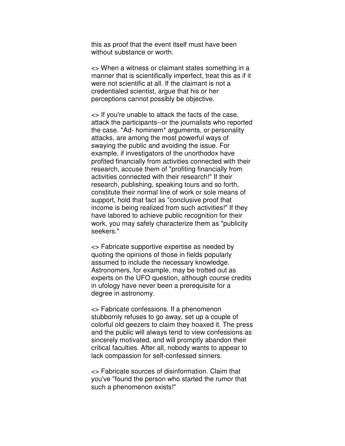this as proof that the event itself must have been without substance or worth.

<> When a witness or claimant states something in a manner that is scientifically imperfect, treat this as if it were not scientific at all. If the claimant is not a credentialed scientist, argue that his or her perceptions cannot possibly be objective.

<> If you're unable to attack the facts of the case, attack the participants--or the journalists who reported the case. \*Ad- hominem\* arguments, or personality attacks, are among the most powerful ways of swaying the public and avoiding the issue. For example, if investigators of the unorthodox have profited financially from activities connected with their research, accuse them of "profiting financially from activities connected with their research!" If their research, publishing, speaking tours and so forth, constitute their normal line of work or sole means of support, hold that fact as "conclusive proof that income is being realized from such activities!" If they have labored to achieve public recognition for their work, you may safely characterize them as "publicity seekers."

<> Fabricate supportive expertise as needed by quoting the opinions of those in fields popularly assumed to include the necessary knowledge. Astronomers, for example, may be trotted out as experts on the UFO question, although course credits in ufology have never been a prerequisite for a degree in astronomy.

<> Fabricate confessions. If a phenomenon stubbornly refuses to go away, set up a couple of colorful old geezers to claim they hoaxed it. The press and the public will always tend to view confessions as sincerely motivated, and will promptly abandon their critical faculties. After all, nobody wants to appear to lack compassion for self-confessed sinners.

<> Fabricate sources of disinformation. Claim that you've "found the person who started the rumor that such a phenomenon exists!"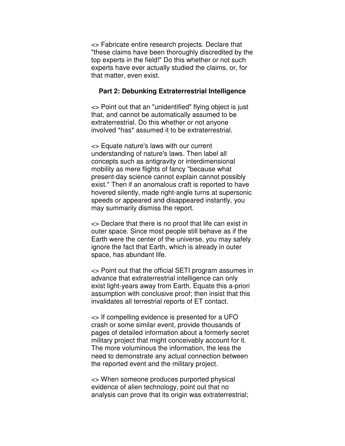<> Fabricate entire research projects. Declare that "these claims have been thoroughly discredited by the top experts in the field!" Do this whether or not such experts have ever actually studied the claims, or, for that matter, even exist.

## **Part 2: Debunking Extraterrestrial Intelligence**

<> Point out that an "unidentified" flying object is just that, and cannot be automatically assumed to be extraterrestrial. Do this whether or not anyone involved \*has\* assumed it to be extraterrestrial.

<> Equate nature's laws with our current understanding of nature's laws. Then label all concepts such as antigravity or interdimensional mobility as mere flights of fancy "because what present-day science cannot explain cannot possibly exist." Then if an anomalous craft is reported to have hovered silently, made right-angle turns at supersonic speeds or appeared and disappeared instantly, you may summarily dismiss the report.

<> Declare that there is no proof that life can exist in outer space. Since most people still behave as if the Earth were the center of the universe, you may safely ignore the fact that Earth, which is already in outer space, has abundant life.

<> Point out that the official SETI program assumes in advance that extraterrestrial intelligence can only exist light-years away from Earth. Equate this a-priori assumption with conclusive proof; then insist that this invalidates all terrestrial reports of ET contact.

<> If compelling evidence is presented for a UFO crash or some similar event, provide thousands of pages of detailed information about a formerly secret military project that might conceivably account for it. The more voluminous the information, the less the need to demonstrate any actual connection between the reported event and the military project.

<> When someone produces purported physical evidence of alien technology, point out that no analysis can prove that its origin was extraterrestrial;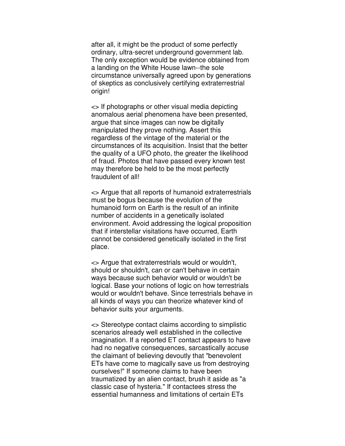after all, it might be the product of some perfectly ordinary, ultra-secret underground government lab. The only exception would be evidence obtained from a landing on the White House lawn--the sole circumstance universally agreed upon by generations of skeptics as conclusively certifying extraterrestrial origin!

<> If photographs or other visual media depicting anomalous aerial phenomena have been presented, argue that since images can now be digitally manipulated they prove nothing. Assert this regardless of the vintage of the material or the circumstances of its acquisition. Insist that the better the quality of a UFO photo, the greater the likelihood of fraud. Photos that have passed every known test may therefore be held to be the most perfectly fraudulent of all!

<> Argue that all reports of humanoid extraterrestrials must be bogus because the evolution of the humanoid form on Earth is the result of an infinite number of accidents in a genetically isolated environment. Avoid addressing the logical proposition that if interstellar visitations have occurred, Earth cannot be considered genetically isolated in the first place.

<> Argue that extraterrestrials would or wouldn't, should or shouldn't, can or can't behave in certain ways because such behavior would or wouldn't be logical. Base your notions of logic on how terrestrials would or wouldn't behave. Since terrestrials behave in all kinds of ways you can theorize whatever kind of behavior suits your arguments.

<> Stereotype contact claims according to simplistic scenarios already well established in the collective imagination. If a reported ET contact appears to have had no negative consequences, sarcastically accuse the claimant of believing devoutly that "benevolent ETs have come to magically save us from destroying ourselves!" If someone claims to have been traumatized by an alien contact, brush it aside as "a classic case of hysteria." If contactees stress the essential humanness and limitations of certain ETs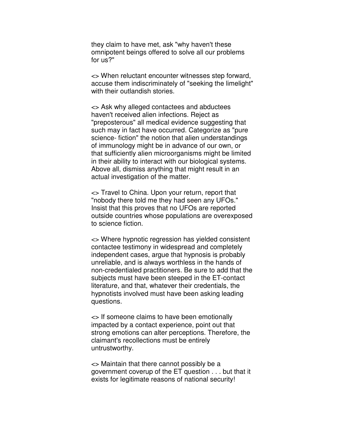they claim to have met, ask "why haven't these omnipotent beings offered to solve all our problems for us?"

<> When reluctant encounter witnesses step forward, accuse them indiscriminately of "seeking the limelight" with their outlandish stories.

<> Ask why alleged contactees and abductees haven't received alien infections. Reject as "preposterous" all medical evidence suggesting that such may in fact have occurred. Categorize as "pure science- fiction" the notion that alien understandings of immunology might be in advance of our own, or that sufficiently alien microorganisms might be limited in their ability to interact with our biological systems. Above all, dismiss anything that might result in an actual investigation of the matter.

<> Travel to China. Upon your return, report that "nobody there told me they had seen any UFOs." Insist that this proves that no UFOs are reported outside countries whose populations are overexposed to science fiction.

<> Where hypnotic regression has yielded consistent contactee testimony in widespread and completely independent cases, argue that hypnosis is probably unreliable, and is always worthless in the hands of non-credentialed practitioners. Be sure to add that the subjects must have been steeped in the ET-contact literature, and that, whatever their credentials, the hypnotists involved must have been asking leading questions.

<> If someone claims to have been emotionally impacted by a contact experience, point out that strong emotions can alter perceptions. Therefore, the claimant's recollections must be entirely untrustworthy.

<> Maintain that there cannot possibly be a government coverup of the ET question . . . but that it exists for legitimate reasons of national security!